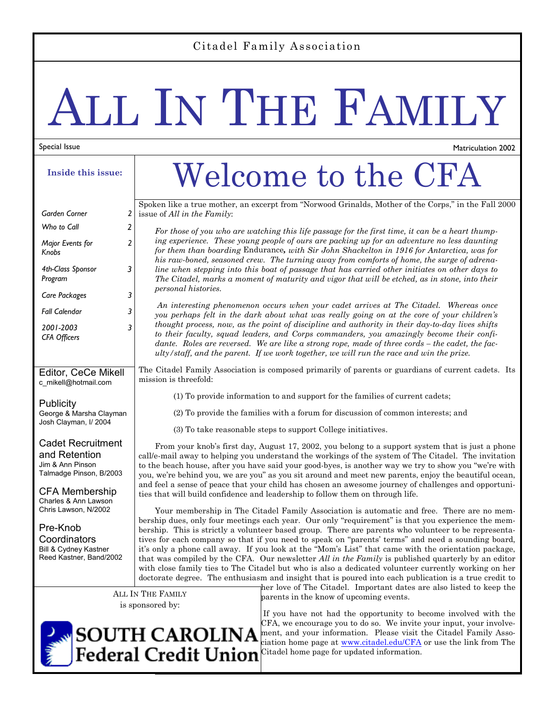#### Citadel Family Association

# ALL IN THE FAMILY

#### Special Issue

*Major Events for* 

*4th-Class Sponsor Program* 

*Knobs* 

**Inside this issue:** 

*Garden Corner 2 Who to Call 2* 

*Care Packages 3 Fall Calendar 3* 

*2* 

*3* 

*3* 

c\_mikell@hotmail.com

George & Marsha Clayman Josh Clayman, I/ 2004

Cadet Recruitment and Retention Jim & Ann Pinson Talmadge Pinson, B/2003

CFA Membership Charles & Ann Lawson Chris Lawson, N/2002

Pre-Knob **Coordinators** Bill & Cydney Kastner Reed Kastner, Band/2002

Publicity

*2001-2003 CFA Officers* 

# Welcome to the CFA

Matriculation 2002

Spoken like a true mother, an excerpt from "Norwood Grinalds, Mother of the Corps," in the Fall 2000 issue of *All in the Family*:

*For those of you who are watching this life passage for the first time, it can be a heart thumping experience. These young people of ours are packing up for an adventure no less daunting for them than boarding* Endurance*, with Sir John Shackelton in 1916 for Antarctica, was for his raw-boned, seasoned crew. The turning away from comforts of home, the surge of adrenaline when stepping into this boat of passage that has carried other initiates on other days to The Citadel, marks a moment of maturity and vigor that will be etched, as in stone, into their personal histories.* 

*An interesting phenomenon occurs when your cadet arrives at The Citadel. Whereas once you perhaps felt in the dark about what was really going on at the core of your children's thought process, now, as the point of discipline and authority in their day-to-day lives shifts to their faculty, squad leaders, and Corps commanders, you amazingly become their confidante. Roles are reversed. We are like a strong rope, made of three cords – the cadet, the faculty/staff, and the parent. If we work together, we will run the race and win the prize.* 

Editor, CeCe Mikell The Citadel Family Association is composed primarily of parents or guardians of current cadets. Its mission is threefold:

(1) To provide information to and support for the families of current cadets;

(2) To provide the families with a forum for discussion of common interests; and

(3) To take reasonable steps to support College initiatives.

From your knob's first day, August 17, 2002, you belong to a support system that is just a phone call/e-mail away to helping you understand the workings of the system of The Citadel. The invitation to the beach house, after you have said your good-byes, is another way we try to show you "we're with you, we're behind you, we are you" as you sit around and meet new parents, enjoy the beautiful ocean, and feel a sense of peace that your child has chosen an awesome journey of challenges and opportunities that will build confidence and leadership to follow them on through life.

Your membership in The Citadel Family Association is automatic and free. There are no membership dues, only four meetings each year. Our only "requirement" is that you experience the membership. This is strictly a volunteer based group. There are parents who volunteer to be representatives for each company so that if you need to speak on "parents' terms" and need a sounding board, it's only a phone call away. If you look at the "Mom's List" that came with the orientation package, that was compiled by the CFA. Our newsletter *All in the Family* is published quarterly by an editor with close family ties to The Citadel but who is also a dedicated volunteer currently working on her doctorate degree. The enthusiasm and insight that is poured into each publication is a true credit to

ALL IN THE FAMILY is sponsored by:

her love of The Citadel. Important dates are also listed to keep the parents in the know of upcoming events.



 If you have not had the opportunity to become involved with the CFA, we encourage you to do so. We invite your input, your involvement, and your information. Please visit the Citadel Family Association home page at www.citadel.edu/CFA or use the link from The Citadel home page for updated information.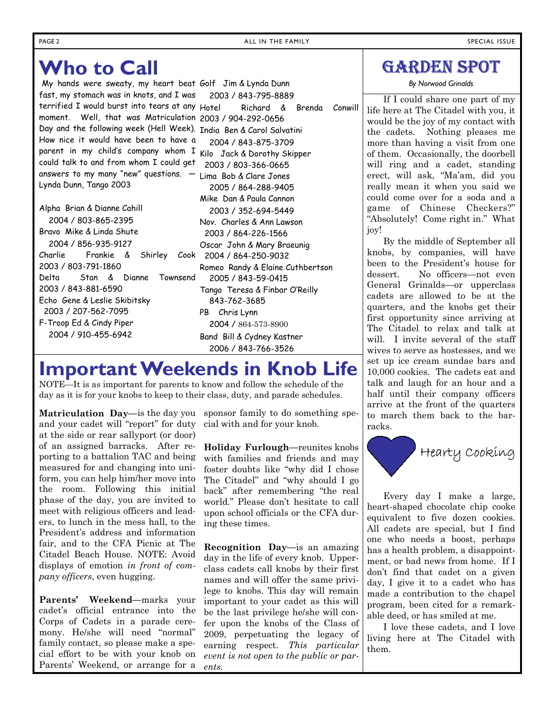## **Who to Call**

My hands were sweaty, my heart beat Golf Jim & Lynda Dunn fast, my stomach was in knots, and I was terrified I would burst into tears at any Hotel moment. Well, that was Matriculation 2003 / 904-292-0656 Day and the following week (Hell Week). India Ben & Carol Salvatini How nice it would have been to have a parent in my child's company whom I could talk to and from whom I could get answers to my many "new" questions. — Lynda Dunn, Tango 2003

Alpha Brian & Dianne Cahill 2004 / 803-865-2395 Bravo Mike & Linda Shute 2004 / 856-935-9127 Charlie Frankie & Shirley 2003 / 803-791-1860 Delta Stan & Dianne Townsend 2003 / 843-881-6590 Echo Gene & Leslie Skibitsky 2003 / 207-562-7095 F-Troop Ed & Cindy Piper 2004 / 910-455-6942

 2003 / 843-795-8889 Richard & Brenda Conwill 2004 / 843-875-3709 Kilo Jack & Dorothy Skipper 2003 / 803-366-0665 Lima Bob & Clare Jones 2005 / 864-288-9405 Mike Dan & Paula Cannon 2003 / 352-694-5449 Nov. Charles & Ann Lawson 2003 / 864-226-1566 Oscar John & Mary Braeunig Cook 2004 / 864-250-9032 Romeo Randy & Elaine Cuthbertson 2005 / 843-59-0415 Tango Teresa & Finbar O'Reilly 843-762-3685 PB Chris Lynn 2004 / 864-573-8900 Band Bill & Cydney Kastner 2006 / 843-766-3526

### **Important Weekends in Knob Life**

NOTE—It is as important for parents to know and follow the schedule of the day as it is for your knobs to keep to their class, duty, and parade schedules.

**Matriculation Day—**is the day you sponsor family to do something speand your cadet will "report" for duty at the side or rear sallyport (or door) of an assigned barracks. After reporting to a battalion TAC and being measured for and changing into uniform, you can help him/her move into the room. Following this initial phase of the day, you are invited to meet with religious officers and leaders, to lunch in the mess hall, to the President's address and information fair, and to the CFA Picnic at The Citadel Beach House. NOTE: Avoid displays of emotion *in front of company officers*, even hugging.

**Parents' Weekend—**marks your cadet's official entrance into the Corps of Cadets in a parade ceremony. He/she will need "normal" family contact, so please make a special effort to be with your knob on Parents' Weekend, or arrange for a cial with and for your knob.

**Holiday Furlough—**reunites knobs with families and friends and may foster doubts like "why did I chose The Citadel" and "why should I go back" after remembering "the real world." Please don't hesitate to call upon school officials or the CFA during these times.

**Recognition Day—**is an amazing day in the life of every knob. Upperclass cadets call knobs by their first names and will offer the same privilege to knobs. This day will remain important to your cadet as this will be the last privilege he/she will confer upon the knobs of the Class of 2009, perpetuating the legacy of earning respect. *This particular event is not open to the public or parents.*

#### GARDEN SPOT

*By Norwood Grinalds* 

If I could share one part of my life here at The Citadel with you, it would be the joy of my contact with the cadets. Nothing pleases me more than having a visit from one of them. Occasionally, the doorbell will ring and a cadet, standing erect, will ask, "Ma'am, did you really mean it when you said we could come over for a soda and a game of Chinese Checkers?" "Absolutely! Come right in." What joy!

By the middle of September all knobs, by companies, will have been to the President's house for dessert. No officers—not even General Grinalds—or upperclass cadets are allowed to be at the quarters, and the knobs get their first opportunity since arriving at The Citadel to relax and talk at will. I invite several of the staff wives to serve as hostesses, and we set up ice cream sundae bars and 10,000 cookies. The cadets eat and talk and laugh for an hour and a half until their company officers arrive at the front of the quarters to march them back to the barracks.



Every day I make a large, heart-shaped chocolate chip cooke equivalent to five dozen cookies. All cadets are special, but I find one who needs a boost, perhaps has a health problem, a disappointment, or bad news from home. If I don't find that cadet on a given day, I give it to a cadet who has made a contribution to the chapel program, been cited for a remarkable deed, or has smiled at me.

I love these cadets, and I love living here at The Citadel with them.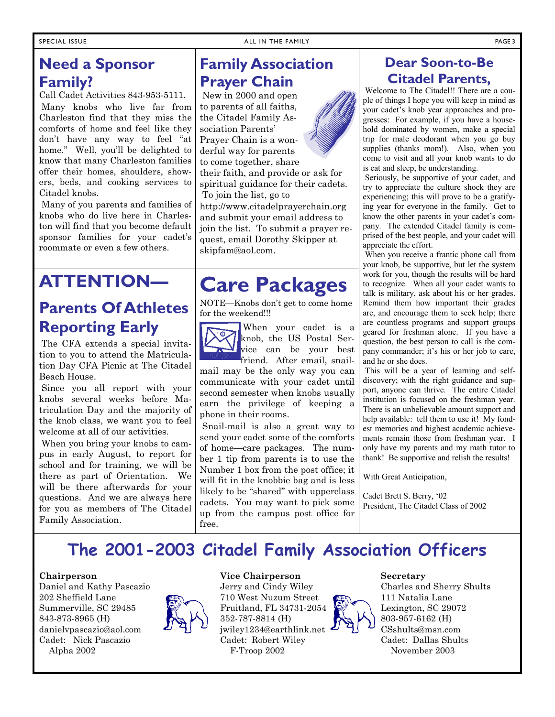Call Cadet Activities 843-953-5111. Many knobs who live far from Charleston find that they miss the comforts of home and feel like they don't have any way to feel "at home." Well, you'll be delighted to know that many Charleston families offer their homes, shoulders, showers, beds, and cooking services to Citadel knobs.

 Many of you parents and families of knobs who do live here in Charleston will find that you become default sponsor families for your cadet's roommate or even a few others.

# **ATTENTION—**

#### **Parents Of Athletes Reporting Early**

The CFA extends a special invitation to you to attend the Matriculation Day CFA Picnic at The Citadel Beach House.

 Since you all report with your knobs several weeks before Matriculation Day and the majority of the knob class, we want you to feel welcome at all of our activities.

 When you bring your knobs to campus in early August, to report for school and for training, we will be there as part of Orientation. We will be there afterwards for your questions. And we are always here for you as members of The Citadel Family Association.

#### **Family Association Prayer Chain**

 New in 2000 and open to parents of all faiths, the Citadel Family Association Parents' Prayer Chain is a won-

derful way for parents to come together, share

their faith, and provide or ask for spiritual guidance for their cadets. To join the list, go to

http://www.citadelprayerchain.org and submit your email address to join the list. To submit a prayer request, email Dorothy Skipper at skipfam@aol.com.

# **Care Packages**

NOTE—Knobs don't get to come home for the weekend!!!



When your cadet is a knob, the US Postal Service can be your best friend. After email, snail-

mail may be the only way you can communicate with your cadet until second semester when knobs usually earn the privilege of keeping a phone in their rooms.

 Snail-mail is also a great way to send your cadet some of the comforts of home—care packages. The number 1 tip from parents is to use the Number 1 box from the post office; it will fit in the knobbie bag and is less likely to be "shared" with upperclass cadets. You may want to pick some up from the campus post office for free.

#### **Dear Soon-to-Be Citadel Parents,**

 Welcome to The Citadel!! There are a couple of things I hope you will keep in mind as your cadet's knob year approaches and progresses: For example, if you have a household dominated by women, make a special trip for male deodorant when you go buy supplies (thanks mom!). Also, when you come to visit and all your knob wants to do is eat and sleep, be understanding.

 Seriously, be supportive of your cadet, and try to appreciate the culture shock they are experiencing; this will prove to be a gratifying year for everyone in the family. Get to know the other parents in your cadet's company. The extended Citadel family is comprised of the best people, and your cadet will appreciate the effort.

 When you receive a frantic phone call from your knob, be supportive, but let the system work for you, though the results will be hard to recognize. When all your cadet wants to talk is military, ask about his or her grades. Remind them how important their grades are, and encourage them to seek help; there are countless programs and support groups geared for freshman alone. If you have a question, the best person to call is the company commander; it's his or her job to care, and he or she does.

 This will be a year of learning and selfdiscovery; with the right guidance and support, anyone can thrive. The entire Citadel institution is focused on the freshman year. There is an unbelievable amount support and help available: tell them to use it! My fondest memories and highest academic achievements remain those from freshman year. I only have my parents and my math tutor to thank! Be supportive and relish the results!

With Great Anticipation,

Cadet Brett S. Berry, '02 President, The Citadel Class of 2002

### **The 2001-2003 Citadel Family Association Officers**

#### **Chairperson**

Daniel and Kathy Pascazio 202 Sheffield Lane Summerville, SC 29485 843-873-8965 (H) danielvpascazio@aol.com Cadet: Nick Pascazio Alpha 2002



#### **Vice Chairperson**

Jerry and Cindy Wiley 710 West Nuzum Street Fruitland, FL 34731-2054 352-787-8814 (H) jwiley1234@earthlink.net Cadet: Robert Wiley F-Troop 2002



#### **Secretary**

Charles and Sherry Shults 111 Natalia Lane Lexington, SC 29072 803-957-6162 (H) CSshults@msn.com Cadet: Dallas Shults November 2003